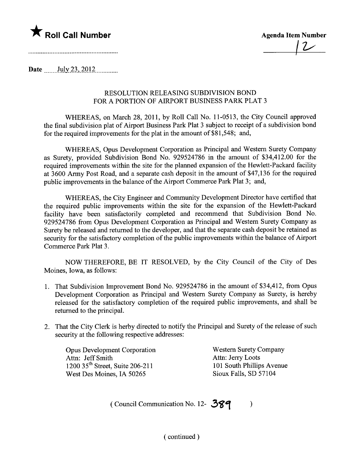

 $|2$ 

Date  $\frac{\text{July }23, 2012 \dots}{\text{July }23, 2012 \dots}$ 

## RESOLUTION RELEASING SUBDIVISION BOND FOR A PORTION OF AIRPORT BUSINESS PARK PLAT 3

WHEREAS, on March 28, 2011, by Roll Call No. 11-0513, the City Council approved the final subdivision plat of Airport Business Park Plat 3 subject to receipt of a subdivision bond for the required improvements for the plat in the amount of \$81,548; and,

WHEREAS, Opus Development Corporation as Principal and Western Surety Company as Surety, provided Subdivision Bond No. 929524786 in the amount of \$34,412.00 for the required improvements within the site for the planned expansion of the Hewlett-Packard facility at 3600 Army Post Road, and a separate cash deposit in the amount of \$47,136 for the required public improvements in the balance of the Airport Commerce Park Plat 3; and,

WHEREAS, the City Engineer and Community Development Director have certified that the required public improvements within the site for the expansion of the Hewlett-Packard facility have been satisfactorily completed and recommend that Subdivision Bond No. 929524786 from Opus Development Corporation as Principal and Western Surety Company as Surety be released and returned to the developer, and that the separate cash deposit be retained as security for the satisfactory completion of the public improvements within the balance of Airport Commerce Park Plat 3.

NOW THEREFORE, BE IT RESOLVED, by the City Council of the City of Des Moines, Iowa, as follows:

- 1. That Subdivision Improvement Bond No. 929524786 in the amount of \$34,412, from Opus Development Corporation as Principal and Western Surety Company as Surety, is hereby released for the satisfactory completion of the required public improvements, and shall be returned to the principaL.
- 2. That the City Clerk is herby directed to notify the Principal and Surety of the release of such security at the following respective addresses:

Opus Development Corporation Attn: Jeff Smith 1200 35<sup>th</sup> Street, Suite 206-211 West Des Moines, IA 50265

Western Surety Company Attn: Jerry Loots 101 South Philips Avenue Sioux Falls, SD 57104

(Council Communication No. 12-  $389$ )